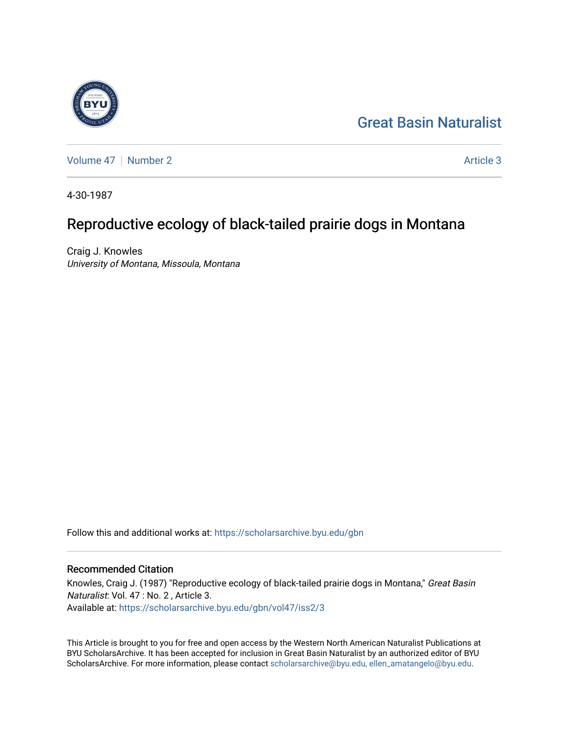# [Great Basin Naturalist](https://scholarsarchive.byu.edu/gbn)

[Volume 47](https://scholarsarchive.byu.edu/gbn/vol47) | [Number 2](https://scholarsarchive.byu.edu/gbn/vol47/iss2) Article 3

4-30-1987

# Reproductive ecology of black-tailed prairie dogs in Montana

Craig J. Knowles University of Montana, Missoula, Montana

Follow this and additional works at: [https://scholarsarchive.byu.edu/gbn](https://scholarsarchive.byu.edu/gbn?utm_source=scholarsarchive.byu.edu%2Fgbn%2Fvol47%2Fiss2%2F3&utm_medium=PDF&utm_campaign=PDFCoverPages) 

## Recommended Citation

Knowles, Craig J. (1987) "Reproductive ecology of black-tailed prairie dogs in Montana," Great Basin Naturalist: Vol. 47 : No. 2 , Article 3. Available at: [https://scholarsarchive.byu.edu/gbn/vol47/iss2/3](https://scholarsarchive.byu.edu/gbn/vol47/iss2/3?utm_source=scholarsarchive.byu.edu%2Fgbn%2Fvol47%2Fiss2%2F3&utm_medium=PDF&utm_campaign=PDFCoverPages)

This Article is brought to you for free and open access by the Western North American Naturalist Publications at BYU ScholarsArchive. It has been accepted for inclusion in Great Basin Naturalist by an authorized editor of BYU ScholarsArchive. For more information, please contact [scholarsarchive@byu.edu, ellen\\_amatangelo@byu.edu.](mailto:scholarsarchive@byu.edu,%20ellen_amatangelo@byu.edu)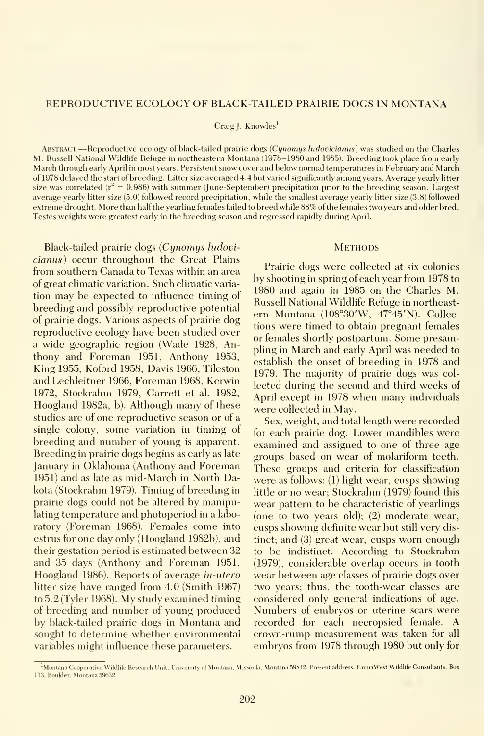### REPRODUCTIVE ECOLOGY OF BLACK-TAILED PRAIRIE DOGS IN MONTANA

Craig J. Knowles<sup>1</sup>

Abstract.—Reproductive ecology of black-tailed prairie dogs (Cijnomys ludovicianus) was studied on the Charles M. Russell National Wildlife Refuge in northeastern Montana (1978-1980 and 1985). Breeding took place from early March through early April in most years. Persistent snow cover and below normal temperatures in February and March of 1978 delayed the start of breeding. Litter size averaged 4.4 but varied significantly among years. Average yearly litter size was correlated  $(r^2 = 0.986)$  with summer (June-September) precipitation prior to the breeding season. Largest average yearly litter size (5.0) followed record precipitation, while the smallest average yearly litter size (3.8) followed extreme drought. More than half the yearling females failed to breed while 88% of the females two years and older bred. Testes weights were greatest early in the breeding season and regressed rapidly during April.

Black-tailed prairie dogs {Cynomys ludovicianus) occur throughout the Great Plains from southern Canada to Texas within an area of great climatic variation. Such climatic varia tion may be expected to influence timing of breeding and possibly reproductive potential of prairie dogs. Various aspects of prairie dog reproductive ecology have been studied over a wide geographic region (Wade 1928, Anthony and Foreman 1951, Anthony 1953, King 1955, Koford 1958, Davis 1966, Tileston and Lechleitner 1966, Foreman 1968, Kerwin 1972, Stockrahm 1979, Garrett et al. 1982, Hoogland 1982a, b). Although many of these studies are of one reproductive season or of a single colony, some variation in timing of breeding and number of young is apparent. Breeding in prairie dogs begins as early as late January in Oklahoma (Anthony and Foreman 1951) and as late as mid-March in North Dakota (Stockrahm 1979). Timing of breeding in prairie dogs could not be altered by manipulating temperature and photoperiod in a labo ratory (Foreman 1968). Females come into estrus for one day only (Hoogland 1982b), and their gestation period is estimated between 32 and 35 days (Anthony and Foreman 1951, Hoogland 1986). Reports of average in-utero litter size have ranged from 4.0 (Smith 1967) to 5.2 (Tyler 1968). My study examined timing of breeding and number of young produced by black-tailed prairie dogs in Montana and sought to determine whether environmental variables might influence these parameters.

# **METHODS**

Prairie dogs were collected at six colonies by shooting in spring of each year from 1978 to 1980 and again in 1985 on the Charles M. Russell National Wildlife Refuge in northeast ern Montana (108°30'W, 47°45'N). Collections were timed to obtain pregnant females or females shortly postpartum. Some presampling in March and early April was needed to establish the onset of breeding in 1978 and 1979. The majority of prairie dogs was col lected during the second and third weeks of April except in 1978 when many individuals were collected in May.

Sex, weight, and total length were recorded for each prairie dog. Lower mandibles were examined and assigned to one of three age groups based on wear of molariform teeth. These groups and criteria for classification were as follows: (1) light wear, cusps showing little or no wear; Stockrahm (1979) found this wear pattern to be characteristic of yearlings (one to two years old); (2) moderate wear, cusps showing definite wear but still very distinct; and (3) great wear, cusps worn enough to be indistinct. According to Stockrahm (1979), considerable overlap occurs in tooth wear between age classes of prairie dogs over two years; thus, the tooth-wear classes are considered only general indications of age. Numbers of embryos or uterine scars were recorded for each necropsied female. A crown-rump measurement was taken for all embryos from 1978 through 1980 but only for

Montana Cooperative Wildlife Research Unit, University of Montana, Missoula, Montana 59812. Present address: FaunaWest Wildlife Consultants, Box 113, Boulder, Montana 59632.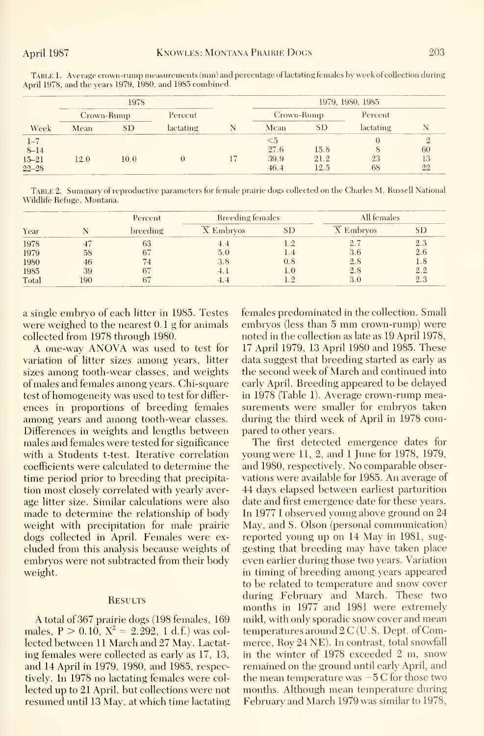|                                               |            | 1978 |           | 1979, 1980, 1985              |                      |           |                |
|-----------------------------------------------|------------|------|-----------|-------------------------------|----------------------|-----------|----------------|
|                                               | Crown-Rump |      | Percent   | Crown-Rump                    |                      | Percent   |                |
| Week                                          | Mean       | SD   | lactating | Mean                          | <b>SD</b>            | lactating |                |
| $1 - 7$<br>$8 - 14$<br>$15 - 21$<br>$22 - 28$ | 12.0       | 10.0 |           | $<$ 5<br>27.6<br>39.9<br>46.4 | 15.8<br>21.2<br>12.5 | 23<br>68  | 60<br>13<br>22 |

Table 1. Average crown-rump measurements (mm) and percentage of lactating females by week of collection during April 1978, and the years 1979, 1980, and 1985 combined.

TABLE 2. Summary of reproductive parameters for female prairie dogs collected on the Charles M. Russell National Wildlife Refuge, Montana.

|       |     | Percent        | <b>Breeding females</b> |     | All females |     |
|-------|-----|----------------|-------------------------|-----|-------------|-----|
| Year  |     | breeding       | $\overline{X}$ Embryos  | SD  | X Embryos   |     |
| 1978  |     | 63             |                         |     | 2.7         | 2.3 |
| 1979  | 58  |                | 5.0                     |     | 3.6         | 2.6 |
| 1980  | 46  | $\overline{4}$ |                         | 0.8 | 2.8         | 1.8 |
| 1985  | 39  |                |                         | 1.0 | 2.8         | 2.2 |
| Total | 190 |                |                         |     | 3.0         | 2.3 |

a single embryo of each litter in 1985. Testes were weighed to the nearest 0.1 g for animals collected from 1978 through 1980.

A one-way ANOVA was used to test for variation of litter sizes among vears, litter sizes among tooth-wear classes, and weights of males and females among years. Chi-square test of homogeneity was used to test for differences in proportions of breeding females among years and among tooth-wear classes. Differences in weights and lengths between males and females were tested for significance with a Students t-test. Iterative correlation coefficients were calculated to determine the time period prior to breeding that precipitation most closely correlated with yearly average litter size. Similar calculations were also made to determine the relationship of body weight with precipitation for male prairie dogs collected in April. Females were excluded from this analysis because weights of embryos were not subtracted from their body weight.

### **RESULTS**

A total of 367 prairie dogs (198 females, 169 males,  $P > 0.10$ ,  $X^2 = 2.292$ , 1 d.f.) was collected between 11 March and 27 May. Lactating females were collected as early as 17, 13, and 14 April in 1979, 1980, and 1985, respectively. In 1978 no lactating females were collected up to 21 April, but collections were not resumed until 13 May, at which time lactating females predominated in the collection. Small embryos (less than 5 mm crown-rump) were noted in the collection as late as 19 April 1978, 17 April 1979, 13 April 1980 and 1985. These data suggest that breeding started as early as the second week of March and continued into early April. Breeding appeared to be delayed in 1978 (Table 1). Average crown-rump measurements were smaller for embryos taken during the third week of April in 1978 compared to other years.

The first detected emergence dates for young were 11, 2, and 1 June for 1978, 1979, and 1980, respectively. No comparable observations were available for 1985. An average of 44 days elapsed between earliest parturition date and first emergence date for these vears. In 1977 I observed young above ground on 24 May, and S. Olson (personal communication) reported young up on 14 May in 1981, suggesting that breeding may have taken place even earlier during those two years. Variation in timing of breeding among years appeared to be related to temperature and snow cover during February and March. These two months in 1977 and 1981 were extremely mild, with only sporadic snow cover and mean temperatures around  $2C$  (U.S. Dept. of Commerce, Roy 24 NE). In contrast, total snowfall in the winter of 1978 exceeded 2 m, snow remained on the ground until early April, and the mean temperature was  $-5C$  for those two months. Although mean temperature during February and March 1979 was similar to 1978,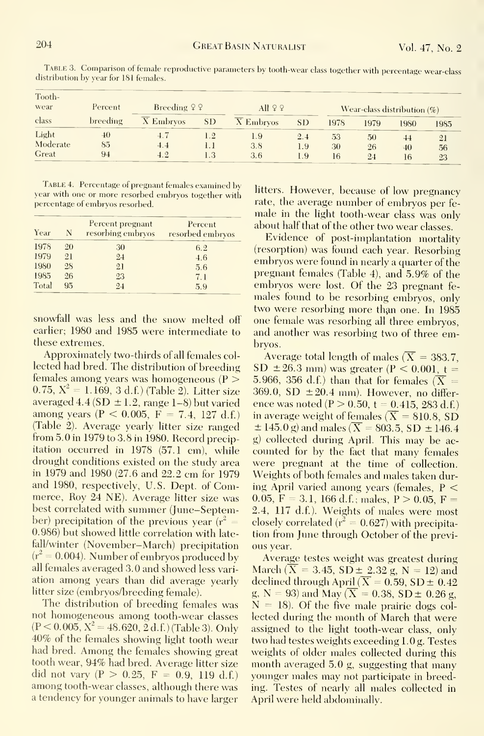| Tooth-<br>wear             | Percent         | Breeding $99$ |            | All $99$          |                   |                |                | Wear-class distribution $(\%)$ |                |
|----------------------------|-----------------|---------------|------------|-------------------|-------------------|----------------|----------------|--------------------------------|----------------|
| class                      | <b>breeding</b> | X Embryos     | SD.        | X Embryos         | SD <sub>1</sub>   | 1978           | 1979           | 1980                           | 1985           |
| Light<br>Moderate<br>Great | 40<br>85<br>94  | 4.4<br>4.2    | 1.2<br>1.3 | 1.9<br>3.8<br>3.6 | 2.4<br>1.9<br>1.9 | 53<br>30<br>16 | 50<br>26<br>24 | 44<br>40<br>16                 | 21<br>56<br>23 |

Table 3. Comparison of female reproductive parameters by tooth-wear class together with percentage wear-class distribution by year for 181 females.

TABLE 4. Percentage of pregnant females examined by year with one or more resorbed embryos together with percentage of embryos resorbed.

| Year  | N  | Percent pregnant<br>resorbing embryos | Percent<br>resorbed embryos |
|-------|----|---------------------------------------|-----------------------------|
| 1978  | 20 | 30                                    | 6.2                         |
| 1979  | 21 | 24                                    | 4.6                         |
| 1980  | 28 | 21                                    | 5.6                         |
| 1985  | 26 | 23                                    | 7.1                         |
| Total | 95 | 24                                    | 5.9                         |

snowfall was less and the snow melted off earlier; 1980 and 1985 were intermediate to these extremes.

Approximately two-thirds of all females collected had bred. The distribution of breeding females among years was homogeneous ( $P >$ 0.75,  $X^2 = 1.169$ , 3 d.f.) (Table 2). Litter size averaged 4.4 (SD  $\pm$  1.2, range 1-8) but varied among years (P < 0.005, F = 7.4, 127 d.f.) (Table 2). Average vearly litter size ranged from 5.0 in 1979 to 3.8 in 1980. Record precipitation occurred in 1978 (57.1 cm), while drought conditions existed on the study area in 1979 and 1980 (27.6 and 22.2 cm for 1979 and 1980, respectively, U.S. Dept. of Commerce, Roy 24 NE). Average litter size was best correlated with summer (June-September) precipitation of the previous year ( $r^2 =$ 0.986) but showed little correlation with latefall/winter (November-March) precipitation  $(r^2 = 0.004)$ . Number of embryos produced by all females averaged 3.0 and showed less variation among years than did average yearly litter size (embryos/breeding female).

The distribution of breeding females was not homogeneous among tooth-wear classes  $(P < 0.005, X^2 = 48.620, 2 d.f.)$  (Table 3). Only 40% of the females showing light tooth wear had bred. Among the females showing great tooth wear, 94% had bred. Average litter size did not vary (P > 0.25, F = 0.9, 119 d.f.) among tooth-wear classes, although there was a tendency for younger animals to have larger

litters. However, because of low pregnancy rate, the average number of embryos per female in the light tooth-wear class was only about half that of the other two wear classes.

Evidence of post-implantation mortality (resorption) was found each year. Resorbing embryos were found in nearly a quarter of the pregnant females (Table 4), and 5.9% of the embryos were lost. Of the 23 pregnant females found to be resorbing embryos, only two were resorbing more than one. In 1985 one female was resorbing all three embryos, and another was resorbing two of three embrvos.

Average total length of males ( $\overline{X}$  = 383.7, SD  $\pm 26.3$  mm) was greater (P < 0.001, t = 5.966, 356 d.f.) than that for females  $(X =$ 369.0, SD  $\pm 20.4$  mm). However, no difference was noted ( $P > 0.50$ ,  $t = 0.415$ , 283 d.f.) in average weight of females  $(\overline{X} = 810.8, SD)$  $\pm$  145.0 g) and males ( $\overline{X}$  = 803.5, SD  $\pm$  146.4 g) collected during April. This may be accounted for by the fact that many females were pregnant at the time of collection. Weights of both females and males taken during April varied among years (females,  $P \n\leq$ 0.05,  $F = 3.1$ , 166 d.f.; males,  $P > 0.05$ ,  $F =$ 2.4, 117 d.f.). Weights of males were most closely correlated ( $r^2 = 0.627$ ) with precipitation from June through October of the previous year.

Average testes weight was greatest during March ( $\overline{X}$  = 3.45, SD  $\pm$  2.32 g, N = 12) and declined through April ( $\overline{X} = 0.59$ ,  $SD \pm 0.42$ g, N = 93) and May ( $\overline{X}$  = 0.38, SD ± 0.26 g,  $N = 18$ ). Of the five male prairie dogs collected during the month of March that were assigned to the light tooth-wear class, only two had testes weights exceeding 1.0 g. Testes weights of older males collected during this month averaged 5.0 g, suggesting that many younger males may not participate in breeding. Testes of nearly all males collected in April were held abdominally.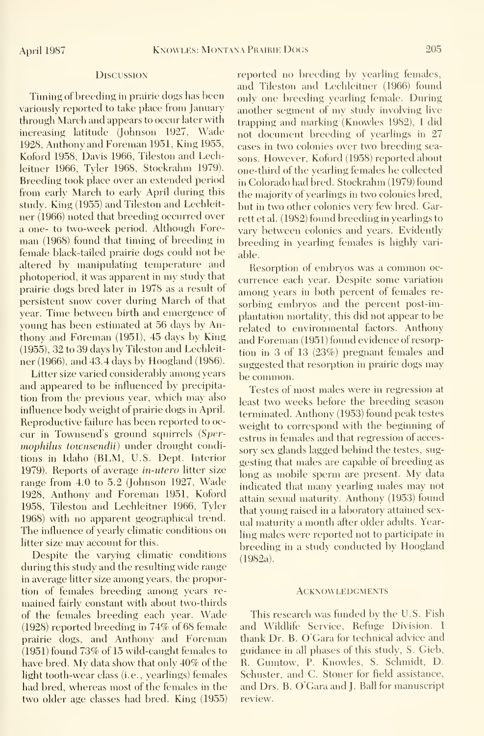Timing of breeding in prairie dogs has been variously reported to take place from January through March and appears to occur later with increasing latitude (Johnson 1927, Wade 1928, Anthony and Foreman 1951, King 1955, Koford 1958, Davis 1966, Tileston and Lechleitner 1966, Tyler 1968, Stockrahm 1979). Breeding took place over an extended period from early March to early April during this study. King (1955) and Tileston and Lechleit ner (1966) noted that breeding occurred over a one- to two-week period. Although Fore man (1968) found that timing of breeding in female black-tailed prairie dogs could not be altered by manipulating temperature and photoperiod, it was apparent in my study that prairie dogs bred later in 1978 as a result of persistent snow cover during March of that year. Time between birth and emergence of young has been estimated at 56 days by Anthony and Foreman (1951), 45 days by King (1955), 32 to 39 davs by Tileston and Lechleit ner (1966), and 43^4 days by Hoogland (1986).

Litter size varied considerably among years and appeared to be influenced by precipitation from the previous year, which may also influence body weight of prairie dogs in April. Reproductive failure has been reported to oc cur in Townsend's ground squirrels {Spermophilus townsendii) under drought conditions in Idaho (BLM, U.S. Dept. Interior 1979). Reports of average in-utero litter size range from 4.0 to 5.2 (Johnson 1927, Wade 1928, Anthony and Foreman 1951, Koford 1958, Tileston and Lechleitner 1966, Tyler 1968) with no apparent geographical trend. The influence of yearly climatic conditions on litter size may account for this.

Despite the varying climatic conditions during this study and the resulting wide range in average litter size among years, the proportion of females breeding among years re mained fairly constant with about two-thirds of the females breeding each year. Wade (1928) reported breeding in 74% of 68 female prairie dogs, and Anthony and Foreman (1951) found 73% of 15 wild-caught females to have bred. My data show that only 40% of the light tooth-wear class (i.e., yearlings) females had bred, whereas most of the females in the two older age classes had bred. King (1955) reported no breeding by yearling females, and Tileston and Lechleitner (1966) found only one breeding yearling female. During another segment of my study involving live trapping and marking (Knowles 1982), <sup>I</sup> did not document breeding of yearlings in 27 cases in two colonies over two breeding sea sons. However, Koford (1958) reported about one-third of the yearling females he collected in Colorado had bred. Stockrahm (1979) found the majority of yearlings in two colonies bred, but in two other colonies very few bred. Garrett et al. (1982) found breeding in yearlings to vary between colonies and years. Evidently breeding in yearling females is highly vari able.

Resorption of embryos was <sup>a</sup> common oc currence each year. Despite some variation among years in both percent of females re sorbing embryos and the percent post-implantation mortality, this did not appear to be related to environmental factors. Anthony and Foreman (1951) found evidence of resorption in 3 of 13 (23%) pregnant females and suggested that resorption in prairie dogs may be common.

Testes of most males were in regression at least two weeks before the breeding season terminated. Anthony (1953) found peak testes weight to correspond with the beginning of estrus in females and that regression of acces sory sex glands lagged behind the testes, sug gesting that males are capable of breeding as long as mobile sperm are present. My data indicated that many yearling males may not attain sexual maturity. Anthony (1953) found that young raised in a laboratory attained sex ual maturity a month after older adults. Yearling males were reported not to participate in breeding in a studv conducted by Hoogland (1982a).

#### **ACKNOWLEDGMENTS**

This research was funded by the U.S. Fish and Wildlife Service, Refuge Division. <sup>I</sup> thank Dr. B. O'Gara for technical advice and guidance in all phases of this study, S. Gieb, R. Gumtow, P. Knowles, S. Schmidt, D. Schuster, and C. Stoner for field assistance, and Drs. B. O'Gara and J. Ball for manuscript review.